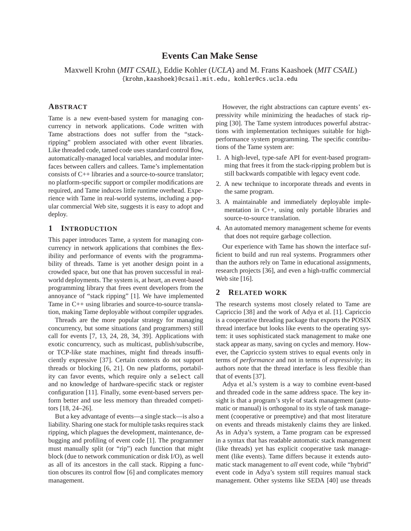# **Events Can Make Sense**

Maxwell Krohn (*MIT CSAIL*), Eddie Kohler (*UCLA*) and M. Frans Kaashoek (*MIT CSAIL*) {krohn,kaashoek}@csail.mit.edu, kohler@cs.ucla.edu

# **ABSTRACT**

Tame is a new event-based system for managing concurrency in network applications. Code written with Tame abstractions does not suffer from the "stackripping" problem associated with other event libraries. Like threaded code, tamed code uses standard control flow, automatically-managed local variables, and modular interfaces between callers and callees. Tame's implementation consists of C++ libraries and a source-to-source translator; no platform-specific support or compiler modifications are required, and Tame induces little runtime overhead. Experience with Tame in real-world systems, including a popular commercial Web site, suggests it is easy to adopt and deploy.

# **1 INTRODUCTION**

This paper introduces Tame, a system for managing concurrency in network applications that combines the flexibility and performance of events with the programmability of threads. Tame is yet another design point in a crowded space, but one that has proven successful in realworld deployments. The system is, at heart, an event-based programming library that frees event developers from the annoyance of "stack ripping" [1]. We have implemented Tame in C++ using libraries and source-to-source translation, making Tame deployable without compiler upgrades.

Threads are the more popular strategy for managing concurrency, but some situations (and programmers) still call for events [7, 13, 24, 28, 34, 39]. Applications with exotic concurrency, such as multicast, publish/subscribe, or TCP-like state machines, might find threads insufficiently expressive [37]. Certain contexts do not support threads or blocking [6, 21]. On new platforms, portability can favor events, which require only a select call and no knowledge of hardware-specific stack or register configuration [11]. Finally, some event-based servers perform better and use less memory than threaded competitors [18, 24–26].

But a key advantage of events—a single stack—is also a liability. Sharing one stack for multiple tasks requires stack ripping, which plagues the development, maintenance, debugging and profiling of event code [1]. The programmer must manually split (or "rip") each function that might block (due to network communication or disk I/O), as well as all of its ancestors in the call stack. Ripping a function obscures its control flow [6] and complicates memory management.

However, the right abstractions can capture events' expressivity while minimizing the headaches of stack ripping [30]. The Tame system introduces powerful abstractions with implementation techniques suitable for highperformance system programming. The specific contributions of the Tame system are:

- 1. A high-level, type-safe API for event-based programming that frees it from the stack-ripping problem but is still backwards compatible with legacy event code.
- 2. A new technique to incorporate threads and events in the same program.
- 3. A maintainable and immediately deployable implementation in C++, using only portable libraries and source-to-source translation.
- 4. An automated memory management scheme for events that does not require garbage collection.

Our experience with Tame has shown the interface sufficient to build and run real systems. Programmers other than the authors rely on Tame in educational assignments, research projects [36], and even a high-traffic commercial Web site [16].

# **2 RELATED WORK**

The research systems most closely related to Tame are Capriccio [38] and the work of Adya et al. [1]. Capriccio is a cooperative threading package that exports the POSIX thread interface but looks like events to the operating system: it uses sophisticated stack management to make one stack appear as many, saving on cycles and memory. However, the Capriccio system strives to equal events only in terms of *performance* and not in terms of *expressivity*; its authors note that the thread interface is less flexible than that of events [37].

Adya et al.'s system is a way to combine event-based and threaded code in the same address space. The key insight is that a program's style of stack management (automatic or manual) is orthogonal to its style of task management (cooperative or preemptive) and that most literature on events and threads mistakenly claims they are linked. As in Adya's system, a Tame program can be expressed in a syntax that has readable automatic stack management (like threads) yet has explicit cooperative task management (like events). Tame differs because it extends automatic stack management to *all* event code, while "hybrid" event code in Adya's system still requires manual stack management. Other systems like SEDA [40] use threads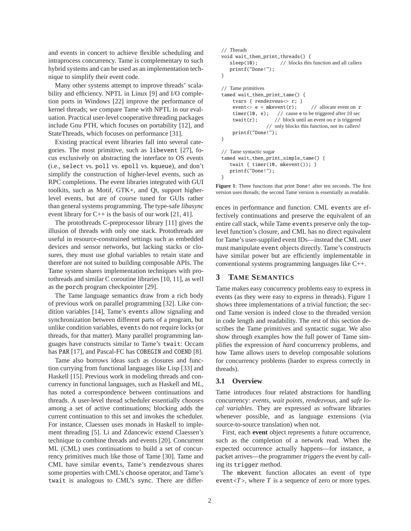and events in concert to achieve flexible scheduling and intraprocess concurrency. Tame is complementary to such hybrid systems and can be used as an implementation technique to simplify their event code.

Many other systems attempt to improve threads' scalability and efficiency. NPTL in Linux [9] and I/O completion ports in Windows [22] improve the performance of kernel threads; we compare Tame with NPTL in our evaluation. Practical user-level cooperative threading packages include Gnu PTH, which focuses on portability [12], and StateThreads, which focuses on performance [31].

Existing practical event libraries fall into several categories. The most primitive, such as libevent [27], focus exclusively on abstracting the interface to OS events (i.e., select vs. poll vs. epoll vs. kqueue), and don't simplify the construction of higher-level events, such as RPC completions. The event libraries integrated with GUI toolkits, such as Motif, GTK+, and Qt, support higherlevel events, but are of course tuned for GUIs rather than general systems programming. The type-safe *libasync* event library for  $C_{++}$  is the basis of our work [21, 41].

The protothreads C-preprocessor library [11] gives the illusion of threads with only one stack. Protothreads are useful in resource-constrained settings such as embedded devices and sensor networks, but lacking stacks or closures, they must use global variables to retain state and therefore are not suited to building composable APIs. The Tame system shares implementation techniques with protothreads and similar C coroutine libraries [10, 11], as well as the porch program checkpointer [29].

The Tame language semantics draw from a rich body of previous work on parallel programming [32]. Like condition variables [14], Tame's events allow signaling and synchronization between different parts of a program, but unlike condition variables, events do not require locks (or threads, for that matter). Many parallel programming languages have constructs similar to Tame's twait: Occam has PAR [17], and Pascal-FC has COBEGIN and COEND [8].

Tame also borrows ideas such as closures and function currying from functional languages like Lisp [33] and Haskell [15]. Previous work in modeling threads and concurrency in functional languages, such as Haskell and ML, has noted a correspondence between continuations and threads. A user-level thread scheduler essentially chooses among a set of active continuations; blocking adds the current continuation to this set and invokes the scheduler. For instance, Claessen uses monads in Haskell to implement threading [5]. Li and Zdancewic extend Claessen's technique to combine threads and events [20]. Concurrent ML (CML) uses continuations to build a set of concurrency primitives much like those of Tame [30]. Tame and CML have similar events, Tame's rendezvous shares some properties with CML's choose operator, and Tame's twait is analogous to CML's sync. There are differ-

```
// Threads
void wait_then_print_threads() {
   sleep(10); // blocks this function and all callersprintf("Done!");
}
// Tame primitives
tamed wait_then_print_tame() {
     tvars { rendezvous<> r; }
     event\ll e = mkevent(r); // allocate event on r<br>timer(10, e); // cause e to be triggered after 10 sec
                        \frac{1}{2} cause e to be triggered after 10 sec
     twait(r); // block until an event on r is triggered
                    // only blocks this function, not its callers!
     printf("Done!");
}
// Tame syntactic sugar
tamed wait_then_print_simple_tame() {
    twait { timer(10, mkevent()); }
   printf("Done!");
}
```
**Figure 1**: Three functions that print Done! after ten seconds. The first version uses threads; the second Tame version is essentially as readable.

ences in performance and function. CML events are effectively continuations and preserve the equivalent of an entire call stack, while Tame events preserve only the toplevel function's closure, and CML has no direct equivalent for Tame's user-supplied event IDs—instead the CML user must manipulate event objects directly. Tame's constructs have similar power but are efficiently implementable in conventional systems programming languages like C++.

### **3 TAME SEMANTICS**

Tame makes easy concurrency problems easy to express in events (as they were easy to express in threads). Figure 1 shows three implementations of a trivial function; the second Tame version is indeed close to the threaded version in code length and readability. The rest of this section describes the Tame primitives and syntactic sugar. We also show through examples how the full power of Tame simplifies the expression of *hard* concurrency problems, and how Tame allows users to develop composable solutions for concurrency problems (harder to express correctly in threads).

#### **3.1 Overview**

Tame introduces four related abstractions for handling concurrency: *events*, *wait points*, *rendezvous*, and *safe local variables*. They are expressed as software libraries whenever possible, and as language extensions (via source-to-source translation) when not.

First, each **event** object represents a future occurrence, such as the completion of a network read. When the expected occurrence actually happens—for instance, a packet arrives—the programmer *triggers* the event by calling its trigger method.

The mkevent function allocates an event of type event $(T$ , where  $T$  is a sequence of zero or more types.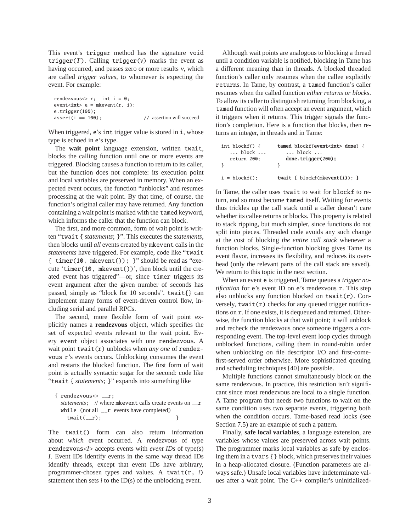This event's trigger method has the signature void trigger( $T$ ). Calling trigger( $v$ ) marks the event as having occurred, and passes zero or more results *v*, which are called *trigger values*, to whomever is expecting the event. For example:

```
rendezvous r; int i = 0;
event<int> e = mkevent(r, i);
e.trigger(100);
assert(i == 100); // assertion will succeed
```
When triggered, e's int trigger value is stored in i, whose type is echoed in e's type.

The **wait point** language extension, written twait, blocks the calling function until one or more events are triggered. Blocking causes a function to return to its caller, but the function does not complete: its execution point and local variables are preserved in memory. When an expected event occurs, the function "unblocks" and resumes processing at the wait point. By that time, of course, the function's original caller may have returned. Any function containing a wait point is marked with the tamed keyword, which informs the caller that the function can block.

The first, and more common, form of wait point is written "twait { *statements*; }". This executes the *statements*, then blocks until *all* events created by mkevent calls in the *statements* have triggered. For example, code like "twait { timer(10, mkevent()); }" should be read as "execute 'timer(10, mkevent())', then block until the created event has triggered"—or, since timer triggers its event argument after the given number of seconds has passed, simply as "block for 10 seconds". twait{} can implement many forms of event-driven control flow, including serial and parallel RPCs.

The second, more flexible form of wait point explicitly names a **rendezvous** object, which specifies the set of expected events relevant to the wait point. Every event object associates with one rendezvous. A wait point twait(r) unblocks when *any one* of rendezvous r's events occurs. Unblocking consumes the event and restarts the blocked function. The first form of wait point is actually syntactic sugar for the second: code like "twait { *statements*; }" expands into something like

```
{ rendezvous<> __r;
 statements; // where mkevent calls create events on __r
 while (not all \mathbf{r} events have completed)
   twait(\_r); }
```
The twait() form can also return information about *which* event occurred. A rendezvous of type rendezvous<*I*> accepts events with *event IDs* of type(s) *I*. Event IDs identify events in the same way thread IDs identify threads, except that event IDs have arbitrary, programmer-chosen types and values. A twait(r, *i*) statement then sets *i* to the ID(s) of the unblocking event.

Although wait points are analogous to blocking a thread until a condition variable is notified, blocking in Tame has a different meaning than in threads. A blocked threaded function's caller only resumes when the callee explicitly returns. In Tame, by contrast, a tamed function's caller resumes when the called function *either returns or blocks*. To allow its caller to distinguish returning from blocking, a tamed function will often accept an event argument, which it triggers when it returns. This trigger signals the function's completion. Here is a function that blocks, then returns an integer, in threads and in Tame:

| int block $f() \{$<br>$\ldots$ block $\ldots$<br>return 200: | tamed blockf(event <int> done) {<br/><math>\ldots</math> block <math>\ldots</math><br/><math>done. trigger(200)</math>;</int> |
|--------------------------------------------------------------|-------------------------------------------------------------------------------------------------------------------------------|
|                                                              |                                                                                                                               |
| $i = blockf()$ :                                             | twait { $block(f$ mkevent $(i)$ ; }                                                                                           |

In Tame, the caller uses twait to wait for blockf to return, and so must become tamed itself. Waiting for events thus trickles up the call stack until a caller doesn't care whether its callee returns or blocks. This property is related to stack ripping, but much simpler, since functions do not split into pieces. Threaded code avoids any such change at the cost of blocking *the entire call stack* whenever a function blocks. Single-function blocking gives Tame its event flavor, increases its flexibility, and reduces its overhead (only the relevant parts of the call stack are saved). We return to this topic in the next section.

When an event e is triggered, Tame queues a *trigger notification* for e's event ID on e's rendezvous r. This step also unblocks any function blocked on twait(r). Conversely,  $twait(r)$  checks for any queued trigger notifications on r. If one exists, it is dequeued and returned. Otherwise, the function blocks at that wait point; it will unblock and recheck the rendezvous once someone triggers a corresponding event. The top-level event loop cycles through unblocked functions, calling them in round-robin order when unblocking on file descriptor I/O and first-comefirst-served order otherwise. More sophisticated queuing and scheduling techniques [40] are possible.

Multiple functions cannot simultaneously block on the same rendezvous. In practice, this restriction isn't significant since most rendezvous are local to a single function. A Tame program that needs two functions to wait on the same condition uses two separate events, triggering both when the condition occurs. Tame-based read locks (see Section 7.5) are an example of such a pattern.

Finally, **safe local variables**, a language extension, are variables whose values are preserved across wait points. The programmer marks local variables as safe by enclosing them in a tvars {} block, which preserves their values in a heap-allocated closure. (Function parameters are always safe.) Unsafe local variables have indeterminate values after a wait point. The C++ compiler's uninitialized-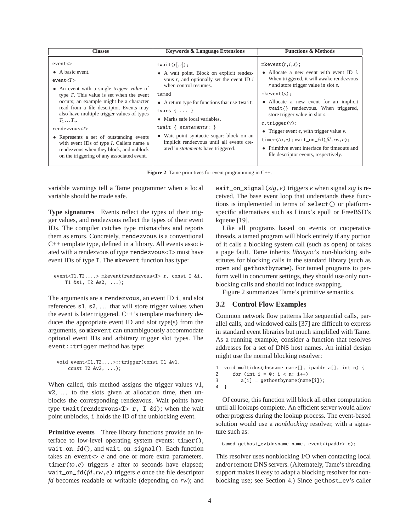| <b>Classes</b>                                                                                                                                                                                                                                                                                                                                                                                                                                                                                                       | <b>Keywords &amp; Language Extensions</b>                                                                                                                                                                                                                                                                                                                                                                                      | <b>Functions &amp; Methods</b>                                                                                                                                                                                                                                                                                                                                                                                                                                                                            |
|----------------------------------------------------------------------------------------------------------------------------------------------------------------------------------------------------------------------------------------------------------------------------------------------------------------------------------------------------------------------------------------------------------------------------------------------------------------------------------------------------------------------|--------------------------------------------------------------------------------------------------------------------------------------------------------------------------------------------------------------------------------------------------------------------------------------------------------------------------------------------------------------------------------------------------------------------------------|-----------------------------------------------------------------------------------------------------------------------------------------------------------------------------------------------------------------------------------------------------------------------------------------------------------------------------------------------------------------------------------------------------------------------------------------------------------------------------------------------------------|
| event <<br>$\bullet$ A basic event.<br>event < T<br>• An event with a single <i>trigger value</i> of<br>type $T$ . This value is set when the event<br>occurs; an example might be a character<br>read from a file descriptor. Events may<br>also have multiple trigger values of types<br>$T_1 \ldots T_n$ .<br>rendezvous<br>• Represents a set of outstanding events<br>with event IDs of type <i>I</i> . Callers name a<br>rendezvous when they block, and unblock<br>on the triggering of any associated event. | twait $(r, i)$ ;<br>• A wait point. Block on explicit rendez-<br>vous $r$ , and optionally set the event ID $i$<br>when control resumes.<br>tamed<br>• A return type for functions that use twait.<br>tvars $\{ \ldots \}$<br>• Marks safe local variables.<br>twait { $statements$ ; }<br>• Wait point syntactic sugar: block on an<br>implicit rendezvous until all events cre-<br>ated in <i>statements</i> have triggered. | mkevent $(r, i, s)$ ;<br>• Allocate a new event with event ID $i$ .<br>When triggered, it will awake rendezvous<br>$r$ and store trigger value in slot $s$ .<br>$mkevent(s)$ :<br>• Allocate a new event for an implicit<br>twait{} rendezvous. When triggered,<br>store trigger value in slot s.<br>$e$ .trigger $(v)$ ;<br>• Trigger event $e$ , with trigger value $v$ .<br>timer(to,e); wait_on_fd(fd,rw,e);<br>• Primitive event interface for timeouts and<br>file descriptor events, respectively. |

**Figure 2**: Tame primitives for event programming in C++.

variable warnings tell a Tame programmer when a local variable should be made safe.

**Type signatures** Events reflect the types of their trigger values, and rendezvous reflect the types of their event IDs. The compiler catches type mismatches and reports them as errors. Concretely, rendezvous is a conventional C++ template type, defined in a library. All events associated with a rendezvous of type rendezvous<I> must have event IDs of type I. The mkevent function has type:

```
event<T1,T2,...> mkevent(rendezvous<I> r, const I &i,
   T1 &s1, T2 &s2, ...);
```
The arguments are a rendezvous, an event ID i, and slot references s1, s2, ... that will store trigger values when the event is later triggered. C++'s template machinery deduces the appropriate event ID and slot type(s) from the arguments, so mkevent can unambiguously accommodate optional event IDs and arbitrary trigger slot types. The event::trigger method has type:

```
void event<T1,T2,...>::trigger(const T1 &v1,
    const T2 &v2, ...);
```
When called, this method assigns the trigger values v1, v2, ... to the slots given at allocation time, then unblocks the corresponding rendezvous. Wait points have type twait(rendezvous<I> r, I &i); when the wait point unblocks, i holds the ID of the unblocking event.

**Primitive events** Three library functions provide an interface to low-level operating system events: timer(), wait\_on\_fd(), and wait\_on\_signal(). Each function takes an event<> *e* and one or more extra parameters. timer(*to*,*e*) triggers *e* after *to* seconds have elapsed; wait\_on\_fd(*fd*,*rw*,*e*) triggers *e* once the file descriptor *fd* becomes readable or writable (depending on *rw*); and

wait\_on\_signal(*sig*,*e*) triggers *e* when signal *sig* is received. The base event loop that understands these functions is implemented in terms of select() or platformspecific alternatives such as Linux's epoll or FreeBSD's kqueue [19].

Like all programs based on events or cooperative threads, a tamed program will block entirely if any portion of it calls a blocking system call (such as open) or takes a page fault. Tame inherits *libasync*'s non-blocking substitutes for blocking calls in the standard library (such as open and gethostbyname). For tamed programs to perform well in concurrent settings, they should use only nonblocking calls and should not induce swapping.

Figure 2 summarizes Tame's primitive semantics.

# **3.2 Control Flow Examples**

Common network flow patterns like sequential calls, parallel calls, and windowed calls [37] are difficult to express in standard event libraries but much simplified with Tame. As a running example, consider a function that resolves addresses for a set of DNS host names. An initial design might use the normal blocking resolver:

```
1 void multidns(dnsname name[], ipaddr a[], int n) {
2 for (int i = 0; i < n; i++)3 a[i] = gethostbyname(name[i]);
4 }
```
Of course, this function will block all other computation until all lookups complete. An efficient server would allow other progress during the lookup process. The event-based solution would use a *nonblocking* resolver, with a signature such as:

tamed gethost\_ev(dnsname name, event<ipaddr> e);

This resolver uses nonblocking I/O when contacting local and/or remote DNS servers. (Alternately, Tame's threading support makes it easy to adapt a blocking resolver for nonblocking use; see Section 4.) Since gethost\_ev's caller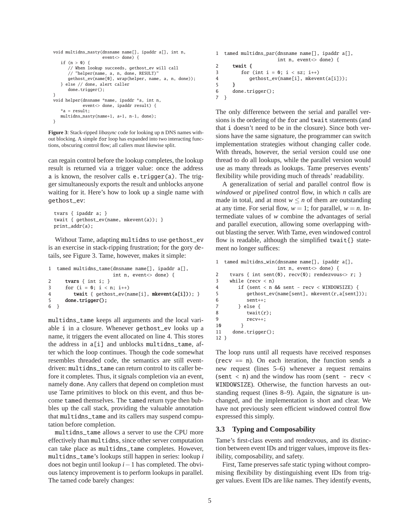```
void multidns_nasty(dnsname name[], ipaddr a[], int n,
                    event<> done) {
   if (n > 0) {
      // When lookup succeeds, gethost_ev will call
      // "helper(name, a, n, done, RESULT)"
      gethost_ev(name[0], wrap(helper, name, a, n, done));
   } else // done, alert caller
      done.trigger();
}
void helper(dnsname *name, ipaddr *a, int n,
            event<> done, ipaddr result) {
   *a = result;
   multidns_nasty(name+1, a+1, n-1, done);
}
```
**Figure 3**: Stack-ripped *libasync* code for looking up n DNS names without blocking. A simple for loop has expanded into two interacting functions, obscuring control flow; all callers must likewise split.

can regain control before the lookup completes, the lookup result is returned via a trigger value: once the address a is known, the resolver calls e.trigger(a). The trigger simultaneously exports the result and unblocks anyone waiting for it. Here's how to look up a single name with gethost\_ev:

```
tvars { ipaddr a; }
twait { gethost_ev(name, mkevent(a)); }
print_addr(a);
```
Without Tame, adapting multidns to use gethost\_ev is an exercise in stack-ripping frustration; for the gory details, see Figure 3. Tame, however, makes it simple:

```
1 tamed multidns_tame(dnsname name[], ipaddr a[],
                    int n, event<> done) {
2 tvars { int i; }
3 for (i = 0; i < n; i++)4 twait { gethost_ev(name[i], mkevent(a[i])); }
5 done.trigger();
6 }
```
multidns\_tame keeps all arguments and the local variable i in a closure. Whenever gethost\_ev looks up a name, it triggers the event allocated on line 4. This stores the address in a[i] and unblocks multidns\_tame, after which the loop continues. Though the code somewhat resembles threaded code, the semantics are still eventdriven: multidns\_tame can return control to its caller before it completes. Thus, it signals completion via an event, namely done. Any callers that depend on completion must use Tame primitives to block on this event, and thus become tamed themselves. The tamed return type then bubbles up the call stack, providing the valuable annotation that multidns\_tame and its callers may suspend computation before completion.

multidns\_tame allows a server to use the CPU more effectively than multidns, since other server computation can take place as multidns\_tame completes. However, multidns\_tame's lookups still happen in series: lookup *i* does not begin until lookup *i*−1 has completed. The obvious latency improvement is to perform lookups in parallel. The tamed code barely changes:

```
1 tamed multidns_par(dnsname name[], ipaddr a[],
                   int n, event<> done) {
2 twait {
3 for (int i = 0; i < sz; i++)4 gethost_ev(name[i], mkevent(a[i]));
5 }
6 done.trigger();
7 }
```
The only difference between the serial and parallel versions is the ordering of the for and twait statements (and that i doesn't need to be in the closure). Since both versions have the same signature, the programmer can switch implementation strategies without changing caller code. With threads, however, the serial version could use one thread to do all lookups, while the parallel version would use as many threads as lookups. Tame preserves events' flexibility while providing much of threads' readability.

A generalization of serial and parallel control flow is *windowed* or *pipelined* control flow, in which *n* calls are made in total, and at most  $w \leq n$  of them are outstanding at any time. For serial flow,  $w = 1$ ; for parallel,  $w = n$ . Intermediate values of *w* combine the advantages of serial and parallel execution, allowing some overlapping without blasting the server. With Tame, even windowed control flow is readable, although the simplified twait{} statement no longer suffices:

```
1 tamed multidns_win(dnsname name[], ipaddr a[],
                   int n, event<> done) {
2 tvars { int sent(0), recv(0); rendezvous\langle r; }
3 while (recv < n)
4 if (sent < n && sent - recv < WINDOWSIZE) {
5 gethost_ev(name[sent], mkevent(r,a[sent]));
6 sent++;
7 } else {
8 twait(r);
9 recv++;
10 }
11 done.trigger();
12 }
```
The loop runs until all requests have received responses ( $recv == n$ ). On each iteration, the function sends a new request (lines 5–6) whenever a request remains (sent  $\langle$  n) and the window has room (sent - recv  $\langle$ WINDOWSIZE). Otherwise, the function harvests an outstanding request (lines 8–9). Again, the signature is unchanged, and the implementation is short and clear. We have not previously seen efficient windowed control flow expressed this simply.

### **3.3 Typing and Composability**

Tame's first-class events and rendezvous, and its distinction between event IDs and trigger values, improve its flexibility, composability, and safety.

First, Tame preserves safe static typing without compromising flexibility by distinguishing event IDs from trigger values. Event IDs are like names. They identify events,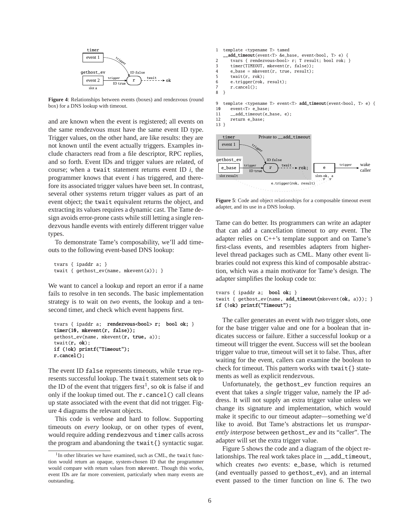

**Figure 4**: Relationships between events (boxes) and rendezvous (round box) for a DNS lookup with timeout.

and are known when the event is registered; all events on the same rendezvous must have the same event ID type. Trigger values, on the other hand, are like results: they are not known until the event actually triggers. Examples include characters read from a file descriptor, RPC replies, and so forth. Event IDs and trigger values are related, of course; when a twait statement returns event ID *i*, the programmer knows that event *i* has triggered, and therefore its associated trigger values have been set. In contrast, several other systems return trigger values as part of an event object; the twait equivalent returns the object, and extracting its values requires a dynamic cast. The Tame design avoids error-prone casts while still letting a single rendezvous handle events with entirely different trigger value types.

To demonstrate Tame's composability, we'll add timeouts to the following event-based DNS lookup:

tvars { ipaddr a; } twait { gethost\_ev(name, mkevent(a)); }

We want to cancel a lookup and report an error if a name fails to resolve in ten seconds. The basic implementation strategy is to wait on *two* events, the lookup and a tensecond timer, and check which event happens first.

```
tvars { ipaddr a; rendezvous<br/>bool> r; bool ok; }
timer(10, mkevent(r, false));
gethost_ev(name, mkevent(r, true, a));
twait(r, ok);
if (!ok) printf("Timeout");
r.cancel();
```
The event ID false represents timeouts, while true represents successful lookup. The twait statement sets ok to the ID of the event that triggers first<sup>1</sup>, so ok is false if and only if the lookup timed out. The r.cancel() call cleans up state associated with the event that did not trigger. Figure 4 diagrams the relevant objects.

This code is verbose and hard to follow. Supporting timeouts on *every* lookup, or on other types of event, would require adding rendezvous and timer calls across the program and abandoning the twait{} syntactic sugar.

```
1 template <typename T> tamed
    __add_timeout(event<T> &e_base, event<bool, T> e) {
2 tvars { rendezvous<br/>bool> r; T result; bool rok; }<br>3 timer(TIMEQUIT, mkeyent(r, false)):
       timer(TIMEOUT, mkevent(r, false));
4 e_base = mkevent(r, true, result);<br>5 twait(r rok):
       twait(r, rok):
6 e.trigger(rok, result);
7 r.cancel();<br>8 }
  8 }
9 template <typename T> event<T> add_timeout(event<br/>bool, T> e) {
10 event<T> e_base;
11 __add_timeout(e_base, e);
12 return e_base;
13 }
```


**Figure 5**: Code and object relationships for a composable timeout event adapter, and its use in a DNS lookup.

Tame can do better. Its programmers can write an adapter that can add a cancellation timeout to *any* event. The adapter relies on C++'s template support and on Tame's first-class events, and resembles adapters from higherlevel thread packages such as CML. Many other event libraries could not express this kind of composable abstraction, which was a main motivator for Tame's design. The adapter simplifies the lookup code to:

```
tvars { ipaddr a; bool ok; }
twait { gethost_ev(name, add_timeout(mkevent(ok, a))); }
if (!ok) printf("Timeout");
```
The caller generates an event with *two* trigger slots, one for the base trigger value and one for a boolean that indicates success or failure. Either a successful lookup or a timeout will trigger the event. Success will set the boolean trigger value to true, timeout will set it to false. Thus, after waiting for the event, callers can examine the boolean to check for timeout. This pattern works with twait{} statements as well as explicit rendezvous.

Unfortunately, the gethost\_ev function requires an event that takes a *single* trigger value, namely the IP address. It will not supply an extra trigger value unless we change its signature and implementation, which would make it specific to our timeout adapter—something we'd like to avoid. But Tame's abstractions let us *transparently interpose* between gethost\_ev and its "caller". The adapter will set the extra trigger value.

Figure 5 shows the code and a diagram of the object relationships. The real work takes place in \_\_add\_timeout, which creates *two* events: e\_base, which is returned (and eventually passed to gethost\_ev), and an internal event passed to the timer function on line 6. The two

<sup>&</sup>lt;sup>1</sup>In other libraries we have examined, such as CML, the twait function would return an opaque, system-chosen ID that the programmer would compare with return values from mkevent. Though this works, event IDs are far more convenient, particularly when many events are outstanding.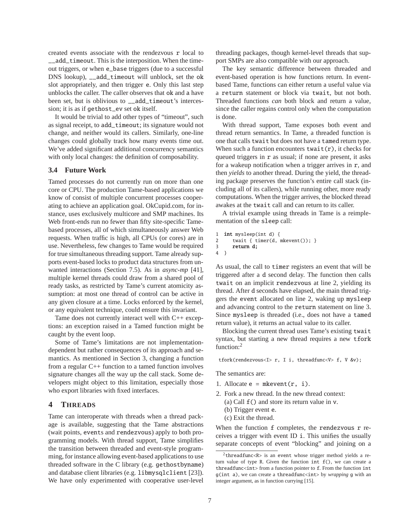created events associate with the rendezvous r local to \_\_add\_timeout. This is the interposition. When the timeout triggers, or when e\_base triggers (due to a successful DNS lookup), \_\_add\_timeout will unblock, set the ok slot appropriately, and then trigger e. Only this last step unblocks the caller. The caller observes that ok and a have been set, but is oblivious to add timeout's intercession; it is as if gethost\_ev set ok itself.

It would be trivial to add other types of "timeout", such as signal receipt, to add\_timeout; its signature would not change, and neither would its callers. Similarly, one-line changes could globally track how many events time out. We've added significant additional concurrency semantics with only local changes: the definition of composability.

# **3.4 Future Work**

Tamed processes do not currently run on more than one core or CPU. The production Tame-based applications we know of consist of multiple concurrent processes cooperating to achieve an application goal. OkCupid.com, for instance, uses exclusively multicore and SMP machines. Its Web front-ends run no fewer than fifty site-specific Tamebased processes, all of which simultaneously answer Web requests. When traffic is high, all CPUs (or cores) are in use. Nevertheless, few changes to Tame would be required for true simultaneous threading support. Tame already supports event-based locks to product data structures from unwanted interactions (Section 7.5). As in *async-mp* [41], multiple kernel threads could draw from a shared pool of ready tasks, as restricted by Tame's current atomicity assumption: at most one thread of control can be active in any given closure at a time. Locks enforced by the kernel, or any equivalent technique, could ensure this invariant.

Tame does not currently interact well with C++ exceptions: an exception raised in a Tamed function might be caught by the event loop.

Some of Tame's limitations are not implementationdependent but rather consequences of its approach and semantics. As mentioned in Section 3, changing a function from a regular C++ function to a tamed function involves signature changes all the way up the call stack. Some developers might object to this limitation, especially those who export libraries with fixed interfaces.

# **4 THREADS**

Tame can interoperate with threads when a thread package is available, suggesting that the Tame abstractions (wait points, events and rendezvous) apply to both programming models. With thread support, Tame simplifies the transition between threaded and event-style programming, for instance allowing event-based applications to use threaded software in the C library (e.g. gethostbyname) and database client libraries (e.g. libmysqlclient [23]). We have only experimented with cooperative user-level threading packages, though kernel-level threads that support SMPs are also compatible with our approach.

The key semantic difference between threaded and event-based operation is how functions return. In eventbased Tame, functions can either return a useful value via a return statement or block via twait, but not both. Threaded functions *can* both block and return a value, since the caller regains control only when the computation is done.

With thread support, Tame exposes both event and thread return semantics. In Tame, a threaded function is one that calls twait but does not have a tamed return type. When such a function encounters  $\text{twait}(r)$ , it checks for queued triggers in r as usual; if none are present, it asks for a wakeup notification when a trigger arrives in  $r$ , and then *yields* to another thread. During the yield, the threading package preserves the function's entire call stack (including all of its callers), while running other, more ready computations. When the trigger arrives, the blocked thread awakes at the twait call and can return to its caller.

A trivial example using threads in Tame is a reimplementation of the sleep call:

```
1 int mysleep(int d) {
2 twait { timer(d, mkevent()); }
3 return d;
4 }
```
As usual, the call to timer registers an event that will be triggered after a d second delay. The function then calls twait on an implicit rendezvous at line 2, yielding its thread. After d seconds have elapsed, the main thread triggers the event allocated on line 2, waking up mysleep and advancing control to the return statement on line 3. Since mysleep is threaded (i.e., does not have a tamed return value), it returns an actual value to its caller.

Blocking the current thread uses Tame's existing twait syntax, but starting a new thread requires a new tfork function:<sup>2</sup>

tfork(rendezvous<I> r, I i, threadfunc<V> f, V &v);

The semantics are:

- 1. Allocate  $e = m$ kevent $(r, i)$ .
- 2. Fork a new thread. In the new thread context:
	- (a) Call f() and store its return value in v.
	- (b) Trigger event e.
	- (c) Exit the thread.

When the function f completes, the rendezvous r receives a trigger with event ID i. This unifies the usually separate concepts of event "blocking" and joining on a

 $2$ threadfunc<R> is an event whose trigger method yields a return value of type R. Given the function int f(), we can create a threadfunc<int> from a function pointer to f. From the function int g(int a), we can create a threadfunc<int> by *wrapping* g with an integer argument, as in function currying [15].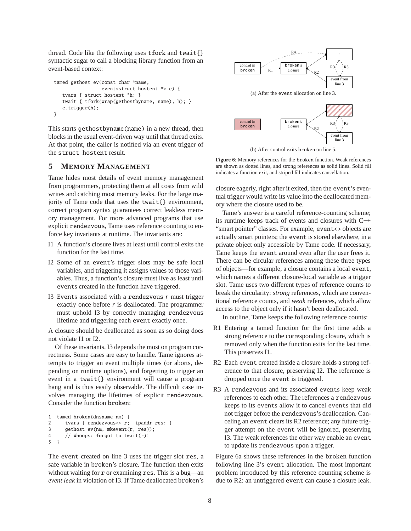thread. Code like the following uses tfork and twait{} syntactic sugar to call a blocking library function from an event-based context:

```
tamed gethost_ev(const char *name,
                 event<struct hostent *> e) {
   tvars { struct hostent *h; }
  twait { tfork(wrap(gethostbyname, name), h); }
   e.trigger(h);
}
```
This starts gethostbyname(name) in a new thread, then blocks in the usual event-driven way until that thread exits. At that point, the caller is notified via an event trigger of the struct hostent result.

# **5 MEMORY MANAGEMENT**

Tame hides most details of event memory management from programmers, protecting them at all costs from wild writes and catching most memory leaks. For the large majority of Tame code that uses the twait{} environment, correct program syntax guarantees correct leakless memory management. For more advanced programs that use explicit rendezvous, Tame uses reference counting to enforce key invariants at runtime. The invariants are:

- I1 A function's closure lives at least until control exits the function for the last time.
- I2 Some of an event's trigger slots may be safe local variables, and triggering it assigns values to those variables. Thus, a function's closure must live as least until events created in the function have triggered.
- I3 Events associated with a rendezvous *r* must trigger exactly once before *r* is deallocated. The programmer must uphold I3 by correctly managing rendezvous lifetime and triggering each event exactly once.

A closure should be deallocated as soon as so doing does not violate I1 or I2.

Of these invariants, I3 depends the most on program correctness. Some cases are easy to handle. Tame ignores attempts to trigger an event multiple times (or aborts, depending on runtime options), and forgetting to trigger an event in a twait{} environment will cause a program hang and is thus easily observable. The difficult case involves managing the lifetimes of explicit rendezvous. Consider the function broken:

```
1 tamed broken(dnsname nm) {
2 tvars { rendezvous \langle x, y \rangle r; ipaddr res; }
3 gethost_ev(nm, mkevent(r, res));
4 // Whoops: forgot to twait(r)!
5 }
```
The event created on line 3 uses the trigger slot res, a safe variable in broken's closure. The function then exits without waiting for r or examining res. This is a bug—an *event leak* in violation of I3. If Tame deallocated broken's



**Figure 6**: Memory references for the broken function. Weak references are shown as dotted lines, and strong references as solid lines. Solid fill indicates a function exit, and striped fill indicates cancellation.

closure eagerly, right after it exited, then the event's eventual trigger would write its value into the deallocated memory where the closure used to be.

Tame's answer is a careful reference-counting scheme; its runtime keeps track of events and closures with C++ "smart pointer" classes. For example, event<> objects are actually smart pointers; the event is stored elsewhere, in a private object only accessible by Tame code. If necessary, Tame keeps the event around even after the user frees it. There can be circular references among these three types of objects—for example, a closure contains a local event, which names a different closure-local variable as a trigger slot. Tame uses two different types of reference counts to break the circularity: *strong* references, which are conventional reference counts, and *weak* references, which allow access to the object only if it hasn't been deallocated.

In outline, Tame keeps the following reference counts:

- R1 Entering a tamed function for the first time adds a strong reference to the corresponding closure, which is removed only when the function exits for the last time. This preserves I1.
- R2 Each event created inside a closure holds a strong reference to that closure, preserving I2. The reference is dropped once the event is triggered.
- R3 A rendezvous and its associated events keep weak references to each other. The references a rendezvous keeps to its events allow it to cancel events that did not trigger before the rendezvous's deallocation. Canceling an event clears its R2 reference; any future trigger attempt on the event will be ignored, preserving I3. The weak references the other way enable an event to update its rendezvous upon a trigger.

Figure 6a shows these references in the broken function following line 3's event allocation. The most important problem introduced by this reference counting scheme is due to R2: an untriggered event can cause a closure leak.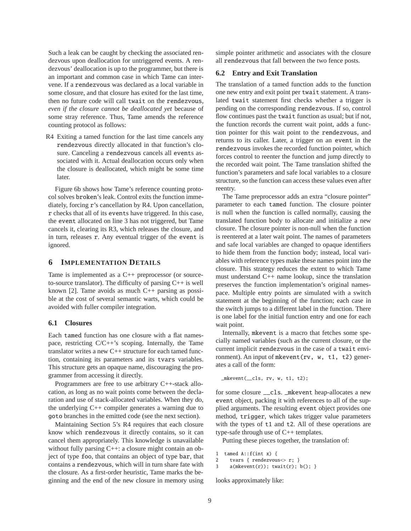Such a leak can be caught by checking the associated rendezvous upon deallocation for untriggered events. A rendezvous' deallocation is up to the programmer, but there is an important and common case in which Tame can intervene. If a rendezvous was declared as a local variable in some closure, and that closure has exited for the last time, then no future code will call twait on the rendezvous, *even if the closure cannot be deallocated yet* because of some stray reference. Thus, Tame amends the reference counting protocol as follows:

R4 Exiting a tamed function for the last time cancels any rendezvous directly allocated in that function's closure. Canceling a rendezvous cancels all events associated with it. Actual deallocation occurs only when the closure is deallocated, which might be some time later.

Figure 6b shows how Tame's reference counting protocol solves broken's leak. Control exits the function immediately, forcing r's cancellation by R4. Upon cancellation, r checks that all of its events have triggered. In this case, the event allocated on line 3 has not triggered, but Tame cancels it, clearing its R3, which releases the closure, and in turn, releases r. Any eventual trigger of the event is ignored.

### **6 IMPLEMENTATION DETAILS**

Tame is implemented as a C++ preprocessor (or sourceto-source translator). The difficulty of parsing  $C++$  is well known [2]. Tame avoids as much C++ parsing as possible at the cost of several semantic warts, which could be avoided with fuller compiler integration.

#### **6.1 Closures**

Each tamed function has one closure with a flat namespace, restricting C/C++'s scoping. Internally, the Tame translator writes a new C++ structure for each tamed function, containing its parameters and its tvars variables. This structure gets an opaque name, discouraging the programmer from accessing it directly.

Programmers are free to use arbitrary C++-stack allocation, as long as no wait points come between the declaration and use of stack-allocated variables. When they do, the underlying C++ compiler generates a warning due to goto branches in the emitted code (see the next section).

Maintaining Section 5's R4 requires that each closure know which rendezvous it directly contains, so it can cancel them appropriately. This knowledge is unavailable without fully parsing C++: a closure might contain an object of type foo, that contains an object of type bar, that contains a rendezvous, which will in turn share fate with the closure. As a first-order heuristic, Tame marks the beginning and the end of the new closure in memory using simple pointer arithmetic and associates with the closure all rendezvous that fall between the two fence posts.

# **6.2 Entry and Exit Translation**

The translation of a tamed function adds to the function one new entry and exit point per twait statement. A translated twait statement first checks whether a trigger is pending on the corresponding rendezvous. If so, control flow continues past the twait function as usual; but if not, the function records the current wait point, adds a function pointer for this wait point to the rendezvous, and returns to its caller. Later, a trigger on an event in the rendezvous invokes the recorded function pointer, which forces control to reenter the function and jump directly to the recorded wait point. The Tame translation shifted the function's parameters and safe local variables to a closure structure, so the function can access these values even after reentry.

The Tame preprocessor adds an extra "closure pointer" parameter to each tamed function. The closure pointer is null when the function is called normally, causing the translated function body to allocate and initialize a new closure. The closure pointer is non-null when the function is reentered at a later wait point. The names of parameters and safe local variables are changed to opaque identifiers to hide them from the function body; instead, local variables with reference types make these names point into the closure. This strategy reduces the extent to which Tame must understand C++ name lookup, since the translation preserves the function implementation's original namespace. Multiple entry points are simulated with a switch statement at the beginning of the function; each case in the switch jumps to a different label in the function. There is one label for the initial function entry and one for each wait point.

Internally, mkevent is a macro that fetches some specially named variables (such as the current closure, or the current implicit rendezvous in the case of a twait environment). An input of mkevent(rv, w, t1, t2) generates a call of the form:

```
_mkevent(__cls, rv, w, t1, t2);
```
for some closure \_\_cls. \_mkevent heap-allocates a new event object, packing it with references to all of the supplied arguments. The resulting event object provides one method, trigger, which takes trigger value parameters with the types of t1 and t2. All of these operations are type-safe through use of C++ templates.

Putting these pieces together, the translation of:

```
1 tamed A::f(int x) {
```
- 2 tvars { rendezvous<> r; }
- 3 a(mkevent(r)); twait(r);  $b()$ ; }

looks approximately like: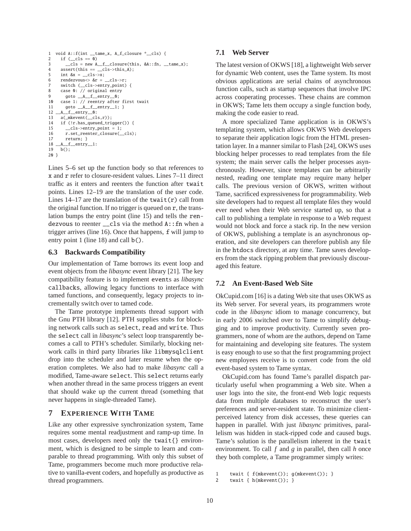```
1 void A:: f(int __tame_x, A_f_closure *__cls) {<br>2 if ( cls == 0)
     if (\_cls == 0)3 __cls = new A__f__closure(this, &A::fn, __tame_x);
4 assert(this == _cls->this_A);
5 int &x = cls \rightarrow x;
6 rendezvous\langle \delta \rangle \deltar = cls->r;
7 switch (__cls->entry_point) {
8 case 0: // original entry
9 goto A_{f_{\text{m}}} entry \emptyset;
10 case 1: // reentry after first twait
11 goto __A__f__entry__1; }
12 __A__f__entry__0:
13 a(_mkevent(__cls,r));
14 if (!r.\nhas queued trigger()) {
15 __cls->entry_point = 1;
16 r.set_reenter_closure(__cls);
17 return; }<br>18 -A_f entry
18 -A_{f_{\text{entry}}-1}:<br>19 b():
    b();
20 }
```
Lines 5–6 set up the function body so that references to x and r refer to closure-resident values. Lines 7–11 direct traffic as it enters and reenters the function after twait points. Lines 12–19 are the translation of the user code. Lines  $14-17$  are the translation of the twait $(r)$  call from the original function. If no trigger is queued on r, the translation bumps the entry point (line 15) and tells the rendezvous to reenter  $\lfloor$  cls via the method A:: fn when a trigger arrives (line 16). Once that happens, f will jump to entry point 1 (line 18) and call **b**().

#### **6.3 Backwards Compatibility**

Our implementation of Tame borrows its event loop and event objects from the *libasync* event library [21]. The key compatibility feature is to implement events as *libasync* callbacks, allowing legacy functions to interface with tamed functions, and consequently, legacy projects to incrementally switch over to tamed code.

The Tame prototype implements thread support with the Gnu PTH library [12]. PTH supplies stubs for blocking network calls such as select, read and write. Thus the select call in *libasync*'s select loop transparently becomes a call to PTH's scheduler. Similarly, blocking network calls in third party libraries like libmysqlclient drop into the scheduler and later resume when the operation completes. We also had to make *libasync* call a modified, Tame-aware select. This select returns early when another thread in the same process triggers an event that should wake up the current thread (something that never happens in single-threaded Tame).

### **7 EXPERIENCE WITH TAME**

Like any other expressive synchronization system, Tame requires some mental readjustment and ramp-up time. In most cases, developers need only the twait{} environment, which is designed to be simple to learn and comparable to thread programming. With only this subset of Tame, programmers become much more productive relative to vanilla-event coders, and hopefully as productive as thread programmers.

#### **7.1 Web Server**

The latest version of OKWS [18], a lightweight Web server for dynamic Web content, uses the Tame system. Its most obvious applications are serial chains of asynchronous function calls, such as startup sequences that involve IPC across cooperating processes. These chains are common in OKWS; Tame lets them occupy a single function body, making the code easier to read.

A more specialized Tame application is in OKWS's templating system, which allows OKWS Web developers to separate their application logic from the HTML presentation layer. In a manner similar to Flash [24], OKWS uses blocking helper processes to read templates from the file system; the main server calls the helper processes asynchronously. However, since templates can be arbitrarily nested, reading one template may require many helper calls. The previous version of OKWS, written without Tame, sacrificed expressiveness for programmability. Web site developers had to request all template files they would ever need when their Web service started up, so that a call to publishing a template in response to a Web request would not block and force a stack rip. In the new version of OKWS, publishing a template is an asynchronous operation, and site developers can therefore publish any file in the htdocs directory, at any time. Tame saves developers from the stack ripping problem that previously discouraged this feature.

### **7.2 An Event-Based Web Site**

OkCupid.com [16] is a dating Web site that uses OKWS as its Web server. For several years, its programmers wrote code in the *libasync* idiom to manage concurrency, but in early 2006 switched over to Tame to simplify debugging and to improve productivity. Currently seven programmers, none of whom are the authors, depend on Tame for maintaining and developing site features. The system is easy enough to use so that the first programming project new employees receive is to convert code from the old event-based system to Tame syntax.

OkCupid.com has found Tame's parallel dispatch particularly useful when programming a Web site. When a user logs into the site, the front-end Web logic requests data from multiple databases to reconstruct the user's preferences and server-resident state. To minimize clientperceived latency from disk accesses, these queries can happen in parallel. With just *libasync* primitives, parallelism was hidden in stack-ripped code and caused bugs. Tame's solution is the parallelism inherent in the twait environment. To call *f* and *g* in parallel, then call *h* once they both complete, a Tame programmer simply writes:

```
1 twait { f(mkevent()); g(mkevent()); }
2 twait { h(mkevent()); }
```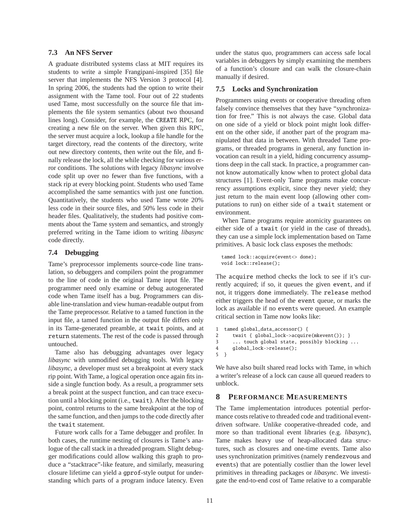# **7.3 An NFS Server**

A graduate distributed systems class at MIT requires its students to write a simple Frangipani-inspired [35] file server that implements the NFS Version 3 protocol [4]. In spring 2006, the students had the option to write their assignment with the Tame tool. Four out of 22 students used Tame, most successfully on the source file that implements the file system semantics (about two thousand lines long). Consider, for example, the CREATE RPC, for creating a new file on the server. When given this RPC, the server must acquire a lock, lookup a file handle for the target directory, read the contents of the directory, write out new directory contents, then write out the file, and finally release the lock, all the while checking for various error conditions. The solutions with legacy *libasync* involve code split up over no fewer than five functions, with a stack rip at every blocking point. Students who used Tame accomplished the same semantics with just one function. Quantitatively, the students who used Tame wrote 20% less code in their source files, and 50% less code in their header files. Qualitatively, the students had positive comments about the Tame system and semantics, and strongly preferred writing in the Tame idiom to writing *libasync* code directly.

### **7.4 Debugging**

Tame's preprocessor implements source-code line translation, so debuggers and compilers point the programmer to the line of code in the original Tame input file. The programmer need only examine or debug autogenerated code when Tame itself has a bug. Programmers can disable line-translation and view human-readable output from the Tame preprocessor. Relative to a tamed function in the input file, a tamed function in the output file differs only in its Tame-generated preamble, at twait points, and at return statements. The rest of the code is passed through untouched.

Tame also has debugging advantages over legacy *libasync* with unmodified debugging tools. With legacy *libasync*, a developer must set a breakpoint at every stack rip point. With Tame, a logical operation once again fits inside a single function body. As a result, a programmer sets a break point at the suspect function, and can trace execution until a blocking point (i.e., twait). After the blocking point, control returns to the same breakpoint at the top of the same function, and then jumps to the code directly after the twait statement.

Future work calls for a Tame debugger and profiler. In both cases, the runtime nesting of closures is Tame's analogue of the call stack in a threaded program. Slight debugger modifications could allow walking this graph to produce a "stacktrace"-like feature, and similarly, measuring closure lifetime can yield a gprof-style output for understanding which parts of a program induce latency. Even under the status quo, programmers can access safe local variables in debuggers by simply examining the members of a function's closure and can walk the closure-chain manually if desired.

### **7.5 Locks and Synchronization**

Programmers using events or cooperative threading often falsely convince themselves that they have "synchronization for free." This is not always the case. Global data on one side of a yield or block point might look different on the other side, if another part of the program manipulated that data in between. With threaded Tame programs, or threaded programs in general, any function invocation can result in a yield, hiding concurrency assumptions deep in the call stack. In practice, a programmer cannot know automatically know when to protect global data structures [1]. Event-only Tame programs make concurrency assumptions explicit, since they never yield; they just return to the main event loop (allowing other computations to run) on either side of a twait statement or environment.

When Tame programs require atomicity guarantees on either side of a twait (or yield in the case of threads), they can use a simple lock implementation based on Tame primitives. A basic lock class exposes the methods:

```
tamed lock::acquire(event<> done);
void lock::release();
```
The acquire method checks the lock to see if it's currently acquired; if so, it queues the given event, and if not, it triggers done immediately. The release method either triggers the head of the event queue, or marks the lock as available if no events were queued. An example critical section in Tame now looks like:

```
1 tamed global_data_accessor() {
2 twait { global_lock->acquire(mkevent()); }
3 ... touch global state, possibly blocking ...
4 global_lock->release();
5 }
```
We have also built shared read locks with Tame, in which a writer's release of a lock can cause all queued readers to unblock.

# **8 PERFORMANCE MEASUREMENTS**

The Tame implementation introduces potential performance costs relative to threaded code and traditional eventdriven software. Unlike cooperative-threaded code, and more so than traditional event libraries (e.g. *libasync*), Tame makes heavy use of heap-allocated data structures, such as closures and one-time events. Tame also uses synchronization primitives (namely rendezvous and events) that are potentially costlier than the lower level primitives in threading packages or *libasync*. We investigate the end-to-end cost of Tame relative to a comparable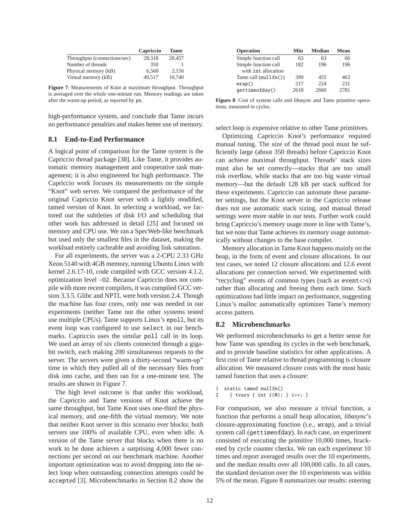|                              | Capriccio | <b>Tame</b> |
|------------------------------|-----------|-------------|
| Throughput (connections/sec) | 28.318    | 28,457      |
| Number of threads            | 350       |             |
| Physical memory (kB)         | 6.560     | 2.156       |
| Virtual memory (kB)          | 49.517    | 10.740      |

**Figure 7**: Measurements of Knot at maximum throughput. Throughput is averaged over the whole one-minute run. Memory readings are taken after the warm-up period, as reported by ps.

high-performance system, and conclude that Tame incurs no performance penalties and makes better use of memory.

# **8.1 End-to-End Performance**

A logical point of comparison for the Tame system is the Capriccio thread package [38]. Like Tame, it provides automatic memory management and cooperative task management; it is also engineered for high performance. The Capriccio work focuses its measurements on the simple "Knot" web server. We compared the performance of the original Capriccio Knot server with a lightly modified, tamed version of Knot. In selecting a workload, we factored out the subtleties of disk I/O and scheduling that other work has addressed in detail [25] and focused on memory and CPU use. We ran a SpecWeb-like benchmark but used only the smallest files in the dataset, making the workload entirely cacheable and avoiding link saturation.

For all experiments, the server was a 2-CPU 2.33 GHz Xeon 5140 with 4GB memory, running Ubuntu Linux with kernel 2.6.17-10, code compiled with GCC version 4.1.2, optimization level -O2. Because Capriccio does not compile with more recent compilers, it was compiled GCC version 3.3.5. Glibc and NPTL were both version 2.4. Though the machine has four cores, only one was needed in our experiments (neither Tame nor the other systems tested use multiple CPUs). Tame supports Linux's epoll, but its event loop was configured to use select in our benchmarks. Capriccio uses the similar poll call in its loop. We used an array of six clients connected through a gigabit switch, each making 200 simultaneous requests to the server. The servers were given a thirty-second "warm-up" time in which they pulled all of the necessary files from disk into cache, and then ran for a one-minute test. The results are shown in Figure 7.

The high level outcome is that under this workload, the Capriccio and Tame versions of Knot achieve the same throughput, but Tame Knot uses one-third the physical memory, and one-fifth the virtual memory. We note that neither Knot server in this scenario ever blocks: both servers use 100% of available CPU, even when idle. A version of the Tame server that blocks when there is no work to be done achieves a surprising 4,000 fewer connections per second on our benchmark machine. Another important optimization was to avoid dropping into the select loop when outstanding connection attempts could be accepted [3]. Microbenchmarks in Section 8.2 show the

| Operation                                 | Min  | <b>Median</b> | Mean |
|-------------------------------------------|------|---------------|------|
| Simple function call                      | 63   | 63            | 66   |
| Simple function call                      | 182  | 196           | 196  |
| with int allocation                       |      |               |      |
| Tame call $(\text{null} \, \text{fn}() )$ | 399  | 455           | 463  |
| wrap()                                    | 2.17 | 224           | 231  |
| qettimeofday()                            | 2618 | 2660          | 2781 |

**Figure 8**: Cost of system calls and *libasync* and Tame primitive operations, measured in cycles.

select loop is expensive relative to other Tame primitives.

Optimizing Capriccio Knot's performance required manual tuning. The size of the thread pool must be sufficiently large (about 350 threads) before Capriccio Knot can achieve maximal throughput. Threads' stack sizes must also be set correctly—stacks that are too small risk overflow, while stacks that are too big waste virtual memory—but the default 128 kB per stack sufficed for these experiments. Capriccio can automate these parameter settings, but the Knot server in the Capriccio release does not use automatic stack sizing, and manual thread settings were more stable in our tests. Further work could bring Capriccio's memory usage more in line with Tame's, but we note that Tame achieves its memory usage automatically without changes to the base compiler.

Memory allocation in Tame Knot happens mainly on the heap, in the form of event and closure allocations. In our test cases, we noted 12 closure allocations and 12.6 event allocations per connection served. We experimented with "recycling" events of common types (such as event<>s) rather than allocating and freeing them each time. Such optimizations had little impact on performance, suggesting Linux's malloc automatically optimizes Tame's memory access pattern.

### **8.2 Microbenchmarks**

We performed microbenchmarks to get a better sense for how Tame was spending its cycles in the web benchmark, and to provide baseline statistics for other applications. A first cost of Tame relative to thread programming is closure allocation. We measured closure costs with the most basic tamed function that uses a closure:

```
1 static tamed nullfn()
     2 { tvars { int i(0); } i++; }
```
For comparison, we also measure a trivial function, a function that performs a small heap allocation, *libasync*'s closure-approximating function (i.e., wrap), and a trivial system call (gettimeofday). In each case, an experiment consisted of executing the primitive 10,000 times, bracketed by cycle counter checks. We ran each experiment 10 times and report averaged results over the 10 experiments, and the median results over all 100,000 calls. In all cases, the standard deviation over the 10 experiments was within 5% of the mean. Figure 8 summarizes our results: entering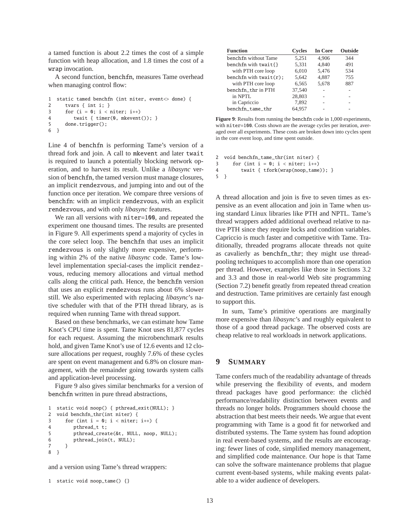a tamed function is about 2.2 times the cost of a simple function with heap allocation, and 1.8 times the cost of a wrap invocation.

A second function, benchfn, measures Tame overhead when managing control flow:

```
1 static tamed benchfn (int niter, event<> done) {
2 tvars { int i; }
3 for (i = 0; i < niter; i++)4 twait { timer(0, mkevent()); }
5 done.trigger();
6 }
```
Line 4 of benchfn is performing Tame's version of a thread fork and join. A call to mkevent and later twait is required to launch a potentially blocking network operation, and to harvest its result. Unlike a *libasync* version of benchfn, the tamed version must manage closures, an implicit rendezvous, and jumping into and out of the function once per iteration. We compare three versions of benchfn: with an implicit rendezvous, with an explicit rendezvous, and with only *libasync* features.

We ran all versions with niter=100, and repeated the experiment one thousand times. The results are presented in Figure 9. All experiments spend a majority of cycles in the core select loop. The benchfn that uses an implicit rendezvous is only slightly more expensive, performing within 2% of the native *libasync* code. Tame's lowlevel implementation special-cases the implicit rendezvous, reducing memory allocations and virtual method calls along the critical path. Hence, the benchfn version that uses an explicit rendezvous runs about 6% slower still. We also experimented with replacing *libasync*'s native scheduler with that of the PTH thread library, as is required when running Tame with thread support.

Based on these benchmarks, we can estimate how Tame Knot's CPU time is spent. Tame Knot uses 81,877 cycles for each request. Assuming the microbenchmark results hold, and given Tame Knot's use of 12.6 events and 12 closure allocations per request, roughly 7.6% of these cycles are spent on event management and 6.8% on closure management, with the remainder going towards system calls and application-level processing.

Figure 9 also gives similar benchmarks for a version of benchfn written in pure thread abstractions,

```
1 static void noop() { pthread_exit(NULL); }
2 void benchfn_thr(int niter) {
3 for (int i = 0; i < niter; i++) {
4 pthread_t t;
5 pthread_create(&t, NULL, noop, NULL);
6 pthread_join(t, NULL);
7 }
8 }
```
and a version using Tame's thread wrappers:

```
1 static void noop_tame() {}
```

| <b>Function</b>           | <b>Cycles</b> | <b>In Core</b> | <b>Outside</b> |
|---------------------------|---------------|----------------|----------------|
| benchfn without Tame      | 5.251         | 4.906          | 344            |
| benchfn with twait $\{\}$ | 5,331         | 4,840          | 491            |
| with PTH core loop        | 6,010         | 5,476          | 534            |
| benchfn with $twait(r)$ ; | 5,642         | 4,887          | 755            |
| with PTH core loop        | 6,565         | 5,678          | 887            |
| benchfn_thr in PTH        | 37.540        |                |                |
| in NPTL                   | 28,803        |                | ۰              |
| in Capriccio              | 7,892         |                | ۰              |
| benchfn_tame_thr          | 64.957        |                |                |

**Figure 9**: Results from running the benchfn code in 1,000 experiments, with niter=100. Costs shown are the average cycles per iteration, averaged over all experiments. These costs are broken down into cycles spent in the core event loop, and time spent outside.

```
2 void benchfn_tame_thr(int niter) {
3 for (int i = 0; i < niter; i++)4 twait { tfork(wrap(noop_tame)); }
5 }
```
A thread allocation and join is five to seven times as expensive as an event allocation and join in Tame when using standard Linux libraries like PTH and NPTL. Tame's thread wrappers added additional overhead relative to native PTH since they require locks and condition variables. Capriccio is much faster and competitive with Tame. Traditionally, threaded programs allocate threads not quite as cavalierly as benchfn\_thr; they might use threadpooling techniques to accomplish more than one operation per thread. However, examples like those in Sections 3.2 and 3.3 and those in real-world Web site programming (Section 7.2) benefit greatly from repeated thread creation and destruction. Tame primitives are certainly fast enough to support this.

In sum, Tame's primitive operations are marginally more expensive than *libasync*'s and roughly equivalent to those of a good thread package. The observed costs are cheap relative to real workloads in network applications.

# **9 SUMMARY**

Tame confers much of the readability advantage of threads while preserving the flexibility of events, and modern thread packages have good performance: the cliched performance/readability distinction between events and threads no longer holds. Programmers should choose the abstraction that best meets their needs. We argue that event programming with Tame is a good fit for networked and distributed systems. The Tame system has found adoption in real event-based systems, and the results are encouraging: fewer lines of code, simplified memory management, and simplified code maintenance. Our hope is that Tame can solve the software maintenance problems that plague current event-based systems, while making events palatable to a wider audience of developers.